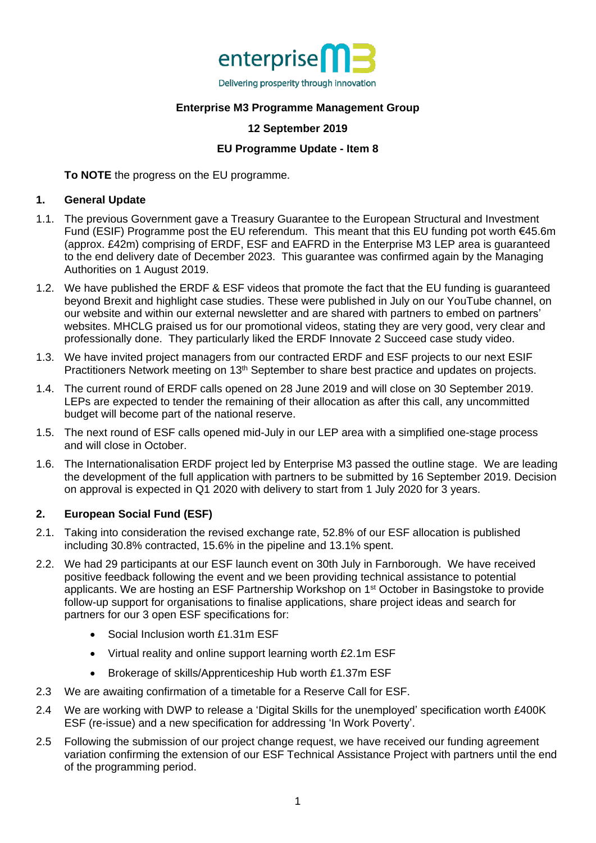

# **Enterprise M3 Programme Management Group**

### **12 September 2019**

## **EU Programme Update - Item 8**

**To NOTE** the progress on the EU programme.

#### **1. General Update**

- 1.1. The previous Government gave a Treasury Guarantee to the European Structural and Investment Fund (ESIF) Programme post the EU referendum. This meant that this EU funding pot worth €45.6m (approx. £42m) comprising of ERDF, ESF and EAFRD in the Enterprise M3 LEP area is guaranteed to the end delivery date of December 2023. This guarantee was confirmed again by the Managing Authorities on 1 August 2019.
- 1.2. We have published the ERDF & ESF videos that promote the fact that the EU funding is guaranteed beyond Brexit and highlight case studies. These were published in July on our YouTube channel, on our website and within our external newsletter and are shared with partners to embed on partners' websites. MHCLG praised us for our promotional videos, stating they are very good, very clear and professionally done. They particularly liked the ERDF Innovate 2 Succeed case study video.
- 1.3. We have invited project managers from our contracted ERDF and ESF projects to our next ESIF Practitioners Network meeting on 13<sup>th</sup> September to share best practice and updates on projects.
- 1.4. The current round of ERDF calls opened on 28 June 2019 and will close on 30 September 2019. LEPs are expected to tender the remaining of their allocation as after this call, any uncommitted budget will become part of the national reserve.
- 1.5. The next round of ESF calls opened mid-July in our LEP area with a simplified one-stage process and will close in October.
- 1.6. The Internationalisation ERDF project led by Enterprise M3 passed the outline stage. We are leading the development of the full application with partners to be submitted by 16 September 2019. Decision on approval is expected in Q1 2020 with delivery to start from 1 July 2020 for 3 years.

### **2. European Social Fund (ESF)**

- 2.1. Taking into consideration the revised exchange rate, 52.8% of our ESF allocation is published including 30.8% contracted, 15.6% in the pipeline and 13.1% spent.
- 2.2. We had 29 participants at our ESF launch event on 30th July in Farnborough. We have received positive feedback following the event and we been providing technical assistance to potential applicants. We are hosting an ESF Partnership Workshop on 1<sup>st</sup> October in Basingstoke to provide follow-up support for organisations to finalise applications, share project ideas and search for partners for our 3 open ESF specifications for:
	- Social Inclusion worth £1.31m ESF
	- Virtual reality and online support learning worth £2.1m ESF
	- Brokerage of skills/Apprenticeship Hub worth £1.37m ESF
- 2.3 We are awaiting confirmation of a timetable for a Reserve Call for ESF.
- 2.4 We are working with DWP to release a 'Digital Skills for the unemployed' specification worth £400K ESF (re-issue) and a new specification for addressing 'In Work Poverty'.
- 2.5 Following the submission of our project change request, we have received our funding agreement variation confirming the extension of our ESF Technical Assistance Project with partners until the end of the programming period.